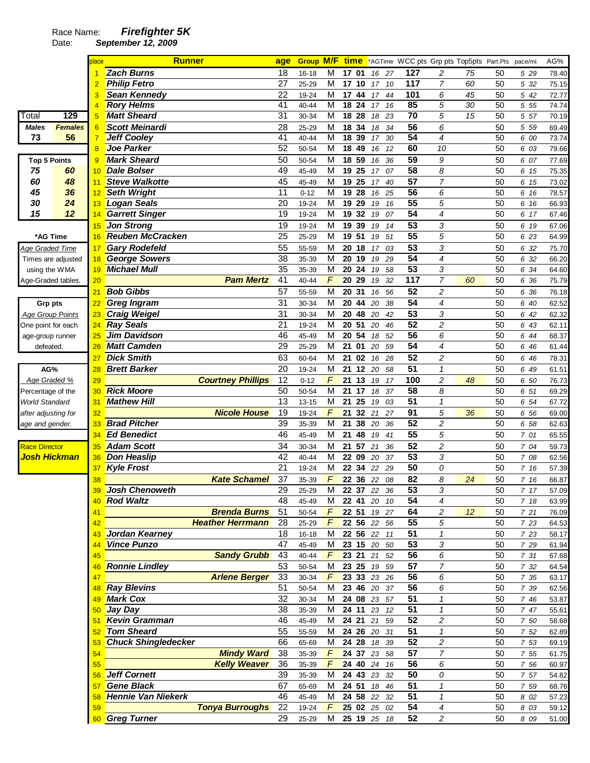## Race Name: **Firefighter 5K**

Date: **September 12, 2009** 

|                           |                    | place           | <b>Runner</b>              | age             | <b>Group M/F</b> |                         |    |       | <b>time</b> *AGTime WCC pts Grp pts Top5pts Part.Pts |                 |                          |    |    | pace/mi | AG%   |
|---------------------------|--------------------|-----------------|----------------------------|-----------------|------------------|-------------------------|----|-------|------------------------------------------------------|-----------------|--------------------------|----|----|---------|-------|
|                           |                    |                 | <b>Zach Burns</b>          | 18              | $16 - 18$        | М                       |    | 17 01 | 16 27                                                | 127             | 2                        | 75 | 50 | 5 29    | 78.40 |
|                           |                    | $\overline{2}$  | <b>Philip Fetro</b>        | 27              | 25-29            | M                       | 17 | 10    | 10<br>17 <sup>2</sup>                                | 117             | $\overline{7}$           | 60 | 50 | 5 32    | 75.15 |
|                           |                    |                 | Sean Kennedy               | 22              | 19-24            | M                       |    | 17 44 | 17<br>44                                             | 101             | 6                        | 45 | 50 | 5 42    | 72.77 |
|                           |                    | 4               | <b>Rory Helms</b>          | 41              | 40-44            | M                       |    | 18 24 | 17<br>16                                             | 85              | 5                        | 30 | 50 | 5 55    | 74.74 |
| Total                     | 129                | 5               | <b>Matt Sheard</b>         | $\overline{31}$ | 30-34            | M                       | 18 | 28    | 18<br>23                                             | $\overline{70}$ | 5                        | 15 | 50 | 5 57    | 70.19 |
| Males                     | <b>Females</b>     | $6\phantom{1}6$ | <b>Scott Meinardi</b>      | 28              | 25-29            | M                       | 18 | 34    | 18<br>34                                             | $\overline{56}$ | 6                        |    | 50 | 5 5 9   | 69.49 |
| 73                        | 56                 | $\overline{7}$  | <b>Jeff Cooley</b>         | 41              | $40 - 44$        | M                       | 18 | 39    | 17<br>30                                             | 54              | 4                        |    | 50 | 6 00    | 73.74 |
|                           |                    | 8               | <b>Joe Parker</b>          | 52              | 50-54            | M                       | 18 | 49    | 12<br>16                                             | 60              | 10                       |    | 50 | 6 03    | 79.66 |
| <b>Top 5 Points</b>       |                    | 9               | <b>Mark Sheard</b>         | 50              | 50-54            | M                       |    | 18 59 | 36<br>16                                             | 59              | 9                        |    | 50 | 6 07    | 77.69 |
| 75                        | 60                 | 10              | <b>Dale Bolser</b>         | 49              | 45-49            | M                       |    | 19 25 | 07<br>17                                             | $\overline{58}$ | 8                        |    | 50 | 6 15    | 75.35 |
| 60                        | 48                 | 11              | <b>Steve Walkotte</b>      | 45              | 45-49            | M                       |    | 19 25 | 17<br>40                                             | 57              | 7                        |    | 50 | 6 15    | 73.02 |
| 45                        | 36                 | 12              | <b>Seth Wright</b>         | 11              | $0 - 12$         | M                       |    | 19 28 | 16<br>25                                             | 56              | 6                        |    | 50 | 6 16    | 78.57 |
| 30                        | 24                 | 13              | <b>Logan Seals</b>         | 20              | 19-24            | М                       | 19 | 29    | 19<br>16                                             | 55              | 5                        |    | 50 | 6 16    | 66.93 |
| 15                        | 12                 | 14              | <b>Garrett Singer</b>      | 19              | 19-24            | M                       |    | 19 32 | 07<br>19                                             | $\overline{54}$ | $\overline{\mathcal{A}}$ |    | 50 | 6 17    | 67.46 |
|                           |                    |                 | <b>Jon Strong</b>          | 19              |                  | M                       |    | 19 39 |                                                      | $\overline{53}$ | 3                        |    | 50 |         |       |
|                           |                    | 15              | <b>Reuben McCracken</b>    | $\overline{25}$ | 19-24            | M                       |    | 19 51 | 19<br>14<br>51                                       | 55              | $\overline{5}$           |    | 50 | 6 19    | 67.06 |
| *AG Time                  |                    | 16              |                            |                 | 25-29            |                         |    |       | 19                                                   |                 |                          |    |    | 6 23    | 64.99 |
| Age Graded Time           |                    | 17              | <b>Gary Rodefeld</b>       | 55              | 55-59            | M                       | 20 | 18    | 03<br>17                                             | 53              | 3                        |    | 50 | 6 32    | 75.70 |
|                           | Times are adjusted | 18              | <b>George Sowers</b>       | 38              | 35-39            | M                       | 20 | 19    | 19<br>29                                             | 54              | 4                        |    | 50 | 6 32    | 66.20 |
| using the WMA             |                    | 19              | <b>Michael Mull</b>        | 35              | 35-39            | M                       |    | 20 24 | 19<br>58                                             | 53              | 3                        |    | 50 | 6 34    | 64.60 |
| Age-Graded tables.        |                    | 20              | <b>Pam Mertz</b>           | 41              | 40-44            | F                       | 20 | 29    | 32<br>19                                             | 117             | $\overline{7}$           | 60 | 50 | 6 36    | 75.79 |
|                           |                    | 21              | <b>Bob Gibbs</b>           | 57              | 55-59            | $\overline{\mathsf{M}}$ |    | 20 31 | 16<br>56                                             | 52              | $\overline{c}$           |    | 50 | 6 36    | 76.18 |
| <b>Grp pts</b>            |                    | 22              | <b>Greg Ingram</b>         | 31              | 30-34            | M                       | 20 | 44    | 20<br>38                                             | 54              | 4                        |    | 50 | 6 40    | 62.52 |
| <b>Age Group Points</b>   |                    | 23              | <b>Craig Weigel</b>        | 31              | 30-34            | M                       | 20 | 48    | 20<br>42                                             | $\overline{53}$ | 3                        |    | 50 | 6 42    | 62.32 |
| One point for each        |                    | 24              | <b>Ray Seals</b>           | 21              | 19-24            | M                       |    | 20 51 | 20<br>46                                             | 52              | $\overline{c}$           |    | 50 | 6 43    | 62.11 |
| age-group runner          |                    | 25              | Jim Davidson               | 46              | 45-49            | M                       |    | 20 54 | 18<br>52                                             | 56              | 6                        |    | 50 | 6 44    | 68.37 |
| defeated.                 |                    | 26              | <b>Matt Camden</b>         | 29              | 25-29            | M                       | 21 | 01    | 20<br>59                                             | $\overline{54}$ | $\overline{4}$           |    | 50 | 6 46    | 61.44 |
|                           |                    | 27              | <b>Dick Smith</b>          | 63              | 60-64            | M                       |    | 21 02 | 16<br>28                                             | 52              | $\overline{c}$           |    | 50 | 6 46    | 78.31 |
| AG%                       |                    | 28              | <b>Brett Barker</b>        | 20              | 19-24            | M                       | 21 | 12    | 20<br>58                                             | 51              | $\mathcal I$             |    | 50 | 6 49    | 61.51 |
| Age Graded %              |                    | 29              | <b>Courtney Phillips</b>   | 12              | $0 - 12$         | F                       | 21 | 13    | 19<br>17                                             | 100             | 2                        | 48 | 50 | 6 50    | 76.73 |
| Percentage of the         |                    | 30              | <b>Rick Moore</b>          | 50              | 50-54            | M                       | 21 | 17    | 18<br>37                                             | 58              | 8                        |    | 50 | 6 51    | 69.29 |
| World Standard            |                    | 31              | <b>Mathew Hill</b>         | 13              | 13-15            | M                       | 21 | 25    | 03<br>19                                             | 51              | 1                        |    | 50 | 6 54    | 67.72 |
| after adjusting for       |                    | 32              | <b>Nicole House</b>        | 19              | 19-24            | F                       | 21 | 32    | 21<br>27                                             | 91              | 5                        | 36 | 50 | 6 56    | 69.00 |
| age and gender.           |                    | 33              | <b>Brad Pitcher</b>        | 39              | 35-39            | M                       | 21 | 38    | 20<br>36                                             | 52              | 2                        |    | 50 | 6 58    | 62.63 |
|                           |                    |                 | <b>Ed Benedict</b>         | 46              | 45-49            | М                       | 21 | 48    | 41                                                   | 55              | 5                        |    | 50 | 7 01    | 65.55 |
|                           |                    | 34              |                            | 34              |                  |                         |    |       | 19                                                   | 52              |                          |    |    |         |       |
| <b>Race Director</b>      |                    | 35              | <b>Adam Scott</b>          |                 | 30-34            | м                       |    | 21 57 | 21<br>36                                             | 53              | $\overline{c}$           |    | 50 | 7 04    | 59.73 |
| <mark>Josh Hickman</mark> |                    | 36              | <b>Don Heaslip</b>         | 42              | 40-44            | M                       |    | 22 09 | 20<br>37                                             | 50              | 3                        |    | 50 | 7 08    | 62.56 |
|                           |                    | 37              | <b>Kyle Frost</b>          | 21              | 19-24            | M                       |    | 22 34 | 22<br>29                                             |                 | 0                        |    | 50 | 7 16    | 57.39 |
|                           |                    | 38              | <b>Kate Schamel</b>        | 37              | 35-39            | F                       |    |       | 22 36 22 08                                          | 82              | 8                        | 24 | 50 | 7 16    | 66.87 |
|                           |                    |                 | Josh Chenoweth             | 29              | 25-29            | $\overline{M}$          |    |       | 22 37 22 36                                          | 53              | 3                        |    | 50 | 717     | 57.09 |
|                           |                    | 40              | <b>Rod Waltz</b>           | 48              | 45-49            | М                       |    |       | 22 41 20 10                                          | 54              | $\overline{4}$           |    | 50 | 7 18    | 63.99 |
|                           |                    | 41              | <b>Brenda Burns</b>        | 51              | 50-54            | $\overline{F}$          |    | 22 51 | 19 27                                                | 64              | $\overline{\mathbf{c}}$  | 12 | 50 | 721     | 76.09 |
|                           |                    | 42              | <b>Heather Herrmann</b>    | 28              | 25-29            | $\mathcal{F}$           |    |       | 22 56 22 56                                          | 55              | 5                        |    | 50 | 7 23    | 64.53 |
|                           |                    | 43              | Jordan Kearney             | 18              | $16 - 18$        | м                       |    |       | 22 56 22 11                                          | 51              | 1                        |    | 50 | 7 23    | 58.17 |
|                           |                    |                 | <b>Vince Punzo</b>         | 47              | 45-49            | M                       |    |       | 23 15 20 50                                          | 53              | 3                        |    | 50 | 7 29    | 61.94 |
|                           |                    | 45              | <b>Sandy Grubb</b>         | 43              | 40-44            | $\mathcal{F}$           |    |       | 23 21 21 52                                          | 56              | 6                        |    | 50 | 7 31    | 67.68 |
|                           |                    | 46              | <b>Ronnie Lindley</b>      | 53              | 50-54            | M                       |    |       | 23 25 19 59                                          | 57              | $\overline{7}$           |    | 50 | 7 32    | 64.54 |
|                           |                    | 47              | <b>Arlene Berger</b>       | 33              | 30-34            | $\sqrt{r}$              |    |       | 23 33 23 26                                          | 56              | 6                        |    | 50 | 7 35    | 63.17 |
|                           |                    | 48              | <b>Ray Blevins</b>         | 51              | 50-54            | M                       |    |       | 23 46 20 37                                          | 56              | 6                        |    | 50 | 7 39    | 62.56 |
|                           |                    | 49              | <b>Mark Cox</b>            | 32              | 30-34            | M                       |    |       | 24 08 23 57                                          | $\overline{51}$ | 1                        |    | 50 | 7 46    | 53.87 |
|                           |                    | 50              | Jay Day                    | 38              | 35-39            | M                       |    |       | 24 11 23 12                                          | 51              | 1                        |    | 50 | 7 47    | 55.61 |
|                           |                    | 51              | <b>Kevin Gramman</b>       | 46              | 45-49            | M                       |    |       | 24 21 21<br>59                                       | 52              | $\overline{c}$           |    | 50 | 7 50    | 58.68 |
|                           |                    |                 | <b>Tom Sheard</b>          | 55              | 55-59            | м                       |    |       | 24 26 20 31                                          | 51              | 1                        |    | 50 | 7 52    | 62.89 |
|                           |                    |                 | <b>Chuck Shingledecker</b> | 66              | 65-69            | М                       |    |       | 24 28 18 39                                          | 52              | $\boldsymbol{2}$         |    | 50 | 7 53    | 69.19 |
|                           |                    | 54              | <b>Mindy Ward</b>          | 38              | 35-39            | $\overline{F}$          |    |       | 24 37 23 58                                          | 57              | $\overline{7}$           |    | 50 | 7 55    | 61.75 |
|                           |                    | 55              | <b>Kelly Weaver</b>        | 36              | 35-39            | $\digamma$              |    |       | 24 40 24 16                                          | 56              | 6                        |    | 50 | 7 56    | 60.97 |
|                           |                    | 56              | <b>Jeff Cornett</b>        | 39              | 35-39            | M                       |    |       | 24 43 23 32                                          | 50              | 0                        |    | 50 | 7 57    | 54.82 |
|                           |                    | 57              | <b>Gene Black</b>          | 67              | 65-69            | M                       |    |       | 24 51 18 46                                          | 51              | 1                        |    | 50 | 7 59    | 68.76 |
|                           |                    | 58              | <b>Hennie Van Niekerk</b>  | 46              | 45-49            | M                       |    |       | 24 58 22 32                                          | 51              | 1                        |    | 50 | 8 0 2   | 57.23 |
|                           |                    | 59              | <b>Tonya Burroughs</b>     | 22              | 19-24            | $\digamma$              |    |       | 25 02 25 02                                          | 54              | 4                        |    | 50 | 8 0 3   | 59.12 |
|                           |                    |                 | 60 Greg Turner             | 29              | 25-29            | M                       |    |       | 25 19 25 18                                          | 52              | 2                        |    | 50 |         |       |
|                           |                    |                 |                            |                 |                  |                         |    |       |                                                      |                 |                          |    |    | 8 09    | 51.00 |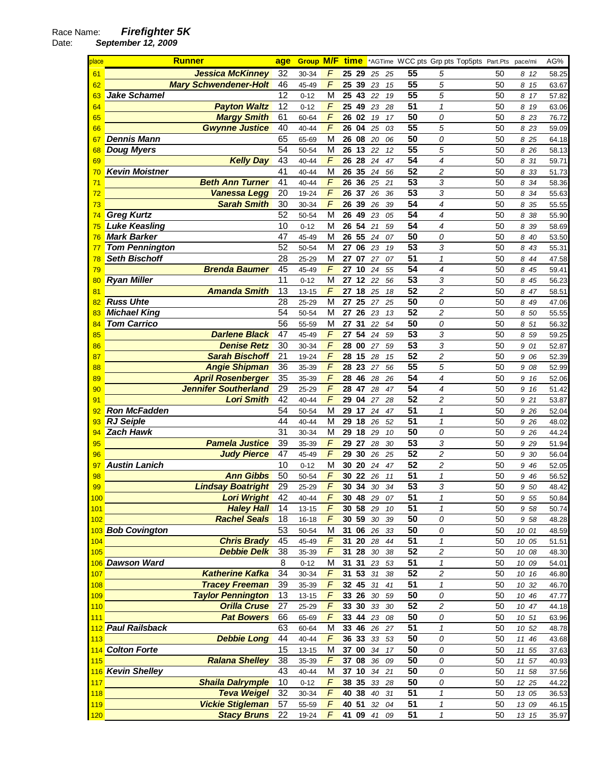Date: **September 12, 2009** 

| place    | <b>Runner</b>                | age             | <b>Group M/F</b>   |                | <u>time</u> |            |          |    | *AGTime WCC pts Grp pts Top5pts Part.Pts |                            |    | pace/mi |              | AG%            |
|----------|------------------------------|-----------------|--------------------|----------------|-------------|------------|----------|----|------------------------------------------|----------------------------|----|---------|--------------|----------------|
| 61       | <b>Jessica McKinney</b>      | 32              | 30-34              | F              | 25 29       |            | 25 25    |    | 55                                       | 5                          | 50 |         | 8 12         | 58.25          |
| 62       | <b>Mary Schwendener-Holt</b> | 46              | 45-49              | F              | 25          | 39         | 23       | 15 | 55                                       | $\overline{5}$             | 50 |         | 8 15         | 63.67          |
| 63       | <b>Jake Schamel</b>          | 12              | $0 - 12$           | M              | 25 43       |            | 22       | 19 | 55                                       | 5                          | 50 | 8       | 17           | 57.82          |
| 64       | <b>Payton Waltz</b>          | 12              | $0 - 12$           | $\overline{F}$ | 25          | 49         | 23       | 28 | 51                                       | $\mathcal I$               | 50 |         | 8 19         | 63.06          |
| 65       | <b>Margy Smith</b>           | 61              | 60-64              | F              | 26          | 02         | 19       | 17 | 50                                       | 0                          | 50 |         | 8 23         | 76.72          |
| 66       | <b>Gwynne Justice</b>        | 40              | 40-44              | F              | 26          | 04         | 25       | 03 | $\overline{55}$                          | 5                          | 50 |         | 8 23         | 59.09          |
| 67       | <b>Dennis Mann</b>           | 65              | 65-69              | М              | 26          | 08         | 20       | 06 | 50                                       | 0                          | 50 |         | 8 25         | 64.18          |
| 68       | <b>Doug Myers</b>            | 54              | 50-54              | M              | 26          | 13         | 22       | 12 | $\overline{55}$                          | 5                          | 50 |         | 8 2 6        | 58.13          |
| 69       | <b>Kelly Day</b>             | 43              | $40 - 44$          | F              | 26          | 28         | 24       | 47 | $\overline{54}$                          | $\overline{\mathcal{A}}$   | 50 | 8       | 31           | 59.71          |
| 70       | <b>Kevin Moistner</b>        | 41              | 40-44              | M              | 26          | 35         | 24       | 56 | $\overline{52}$                          | $\overline{c}$             | 50 | 8       | 33           | 51.73          |
| 71       | <b>Beth Ann Turner</b>       | 41              | 40-44              | $\overline{F}$ | 26          | 36         | 25       | 21 | 53                                       | 3                          | 50 | 8       | 34           | 58.36          |
| 72       | Vanessa Legg                 | 20              | 19-24              | $\overline{F}$ | 26          | 37         | 26       | 36 | $\overline{53}$                          | 3                          | 50 | 8       | 34           | 55.63          |
| 73       | <b>Sarah Smith</b>           | 30              | 30-34              | $\overline{F}$ | 26          | 39         | 26       | 39 | $\overline{54}$                          | 4                          | 50 | 8       | 35           | 55.55          |
| 74       | <b>Greg Kurtz</b>            | 52              | 50-54              | M              | 26          | 49         | 23       | 05 | 54                                       | 4                          | 50 | 8       | -38          | 55.90          |
| 75       | <b>Luke Keasling</b>         | 10              | $0 - 12$           | М              | 26          | 54         | 21       | 59 | 54                                       | 4                          | 50 |         | 8 39         | 58.69          |
| 76       | <b>Mark Barker</b>           | 47              | 45-49              | М              | 26          | 55         | 24       | 07 | 50                                       | 0                          | 50 | 8       | 40           | 53.50          |
| 77       | <b>Tom Pennington</b>        | 52              | 50-54              | M              | 27          | 06         | 23       | 19 | 53                                       | 3                          | 50 | 8       | 43           | 55.31          |
| 78       | <b>Seth Bischoff</b>         | 28              | 25-29              | M              | 27          | 07         | 27       | 07 | 51                                       | $\mathbf{1}$               | 50 | 8       | 44           | 47.58          |
| 79       | <b>Brenda Baumer</b>         | 45              | 45-49              | $\overline{F}$ | 27          | 10         | 24       | 55 | 54                                       | 4                          | 50 | 8       | 45           | 59.41          |
| 80       | <b>Ryan Miller</b>           | $\overline{11}$ | $0 - 12$           | M              | 27          | 12         | 22       | 56 | $\overline{53}$                          | 3                          | 50 | 8       | 45           | 56.23          |
| 81       | <b>Amanda Smith</b>          | 13              | $13 - 15$          | $\overline{F}$ | 27          | 18         | 25       | 18 | 52                                       | $\overline{c}$             | 50 | 8       | 47           | 58.51          |
| 82       | <b>Russ Uhte</b>             | 28              | 25-29              | M              | 27          | 25         | 27       | 25 | $\overline{50}$                          | 0                          | 50 | 8       | 49           | 47.06          |
| 83       | <b>Michael King</b>          | 54              | 50-54              | M              | 27          | 26         | 23       | 13 | $\overline{52}$                          | $\overline{c}$             | 50 |         | 8 50         | 55.55          |
| 84       | Tom Carrico                  | 56              | 55-59              | M              | 27          | 31         | 22       | 54 | 50                                       | 0                          | 50 |         | 8 51         | 56.32          |
| 85       | <b>Darlene Black</b>         | $\overline{47}$ | 45-49              | F              | 27          | 54         | 24       | 59 | $\overline{53}$                          | 3                          | 50 | 8       | 59           | 59.25          |
| 86       | <b>Denise Retz</b>           | $\overline{30}$ | 30-34              | F              | 28          | 00         | 27       | 59 | $\overline{53}$                          | 3                          | 50 |         | 9 01         | 52.87          |
| 87       | <b>Sarah Bischoff</b>        | 21              | 19-24              | F              | 28          | 15         | 28       | 15 | 52                                       | $\overline{c}$             | 50 |         | 9 06         | 52.39          |
| 88       | <b>Angie Shipman</b>         | 36              | 35-39              | $\overline{F}$ | 28          | 23         | 27       | 56 | 55                                       | 5                          | 50 | 9       | 08           | 52.99          |
| 89       | <b>April Rosenberger</b>     | 35              | 35-39              | $\overline{F}$ | 28          | 46         | 28       | 26 | 54                                       | 4                          | 50 |         | 9 16         | 52.06          |
| 90       | <b>Jennifer Southerland</b>  | 29              | 25-29              | F              | 28          | 47         | 28       | 47 | 54                                       | 4                          | 50 |         | 9 16         | 51.42          |
| 91       | <b>Lori Smith</b>            | 42              | 40-44              | F              | 29          | 04         | 27       | 28 | 52                                       | 2                          | 50 |         | 9 21         | 53.87          |
| 92       | <b>Ron McFadden</b>          | 54              | 50-54              | М              | 29          | 17         | 24       | 47 | 51                                       | 1                          | 50 |         | 9 26         | 52.04          |
|          | <b>RJ Seiple</b>             | 44              | 40-44              | М              | 29          | 18         |          | 52 | 51                                       | $\mathcal I$               | 50 |         | 9 26         |                |
| 93<br>94 | <b>Zach Hawk</b>             | 31              | 30-34              | M              | 29          | 18         | 26<br>29 | 10 | 50                                       | 0                          | 50 |         | 9 26         | 48.02<br>44.24 |
| 95       | <b>Pamela Justice</b>        | 39              | 35-39              | F              | 29          | 27         | 28       | 30 | $\overline{53}$                          | 3                          | 50 |         | 9 29         | 51.94          |
| 96       | <b>Judy Pierce</b>           | 47              | 45-49              | F              | 29          | 30         | 26       | 25 | $\overline{52}$                          | $\overline{c}$             | 50 | 9       | 30           | 56.04          |
| 97       | <b>Austin Lanich</b>         | 10              | $0 - 12$           | M              | 30          | 20         | 24       | 47 | 52                                       | $\overline{c}$             | 50 | 9       | 46           | 52.05          |
| 98       | <b>Ann Gibbs</b>             | 50              | 50-54              | $\overline{F}$ | 30          | 22         | 26       | 11 | $\overline{51}$                          | $\mathcal I$               | 50 | 9       | 46           | 56.52          |
| 99       | <b>Lindsay Boatright</b>     | 29              | 25-29              | F              | 30          | 34         | 30       | 34 | 53                                       | 3                          | 50 |         |              |                |
| 100      | <b>Lori Wright</b>           | 42              |                    | F              | 30 48 29 07 |            |          |    | 51                                       | 1                          | 50 |         | 9 50<br>9 55 | 48.42<br>50.84 |
| 101      | <b>Haley Hall</b>            | 14              | 40-44<br>13-15     | F              | 30 58       |            | 29       | 10 | 51                                       | 1                          | 50 |         | 9 58         | 50.74          |
| 102      | <b>Rachel Seals</b>          | 18              |                    | F              | 30 59       |            |          |    | 50                                       | 0                          | 50 |         | 9 58         |                |
|          | 103 Bob Covington            | 53              | $16 - 18$<br>50-54 | M              | 31 06 26 33 |            | 30 39    |    | 50                                       | ${\cal O}$                 | 50 |         | 10 01        | 48.28          |
| 104      | <b>Chris Brady</b>           | 45              | 45-49              | $\overline{F}$ | 31          | 20         | 28       | 44 | 51                                       | $\overline{\mathbf{1}}$    | 50 | 10 05   |              | 48.59<br>51.51 |
| 105      | <b>Debbie Delk</b>           | 38              | 35-39              | $\overline{F}$ | 31 28       |            | 30       | 38 | 52                                       | $\overline{c}$             | 50 | 10 08   |              | 48.30          |
|          | 106 Dawson Ward              | $\bf 8$         | $0 - 12$           | M              | 31          | 31         | 23       | 53 | 51                                       | $\boldsymbol{\mathcal{I}}$ | 50 | 10 09   |              | 54.01          |
| 107      | <b>Katherine Kafka</b>       | 34              | 30-34              | $\overline{F}$ | 31          | 53         | 31       | 38 | 52                                       | $\overline{c}$             | 50 | 10 16   |              | 46.80          |
| 108      | <b>Tracey Freeman</b>        | 39              | 35-39              | F              | 32 45       |            | 31       | 41 | 51                                       | 1                          | 50 | 10 32   |              | 46.70          |
| 109      | <b>Taylor Pennington</b>     | 13              | $13 - 15$          | F              | 33 26       |            | 30 59    |    | 50                                       | 0                          | 50 | 10 46   |              | 47.77          |
| 110      | <b>Orilla Cruse</b>          | 27              | 25-29              | $\overline{F}$ | 33 30       |            | 33 30    |    | 52                                       | $\overline{c}$             | 50 | 10 47   |              | 44.18          |
| 111      | <b>Pat Bowers</b>            | 66              | 65-69              | F              | 33 44       |            | 23 08    |    | 50                                       | 0                          | 50 | 10 51   |              | 63.96          |
|          | 112 Paul Railsback           | 63              | 60-64              | M              | 33 46       |            | 26 27    |    | 51                                       | $\mathbf{1}$               | 50 | 10 52   |              | 48.78          |
| 113      | <b>Debbie Long</b>           | 44              | 40-44              | $\digamma$     | 36 33       |            | 33 53    |    | 50                                       | 0                          | 50 | 11 46   |              | 43.68          |
|          | 114 Colton Forte             | 15              | $13 - 15$          | M              | 37 00       |            | 34       | 17 | 50                                       | 0                          | 50 | 11 55   |              | 37.63          |
| 115      | <b>Ralana Shelley</b>        | 38              | 35-39              | $\sqrt{2}$     | 37          | ${\bf 08}$ | 36       | 09 | 50                                       | 0                          | 50 | 11 57   |              | 40.93          |
|          | 116 Kevin Shelley            | 43              | 40-44              | M              | 37          | $10$       | 34 21    |    | 50                                       | 0                          | 50 | 11 58   |              | 37.56          |
| 117      | <b>Shaila Dalrymple</b>      | 10              | $0 - 12$           | F              | 38          | 35         | 33 28    |    | 50                                       | 0                          | 50 |         | 12 25        | 44.22          |
| 118      | <b>Teva Weigel</b>           | 32              | 30-34              | F              | 40 38       |            | 40 31    |    | 51                                       | 1                          | 50 |         | 13 05        | 36.53          |
| 119      | <b>Vickie Stigleman</b>      | 57              | 55-59              | F              | 40 51       |            | 32       | 04 | 51                                       | $\boldsymbol{\mathcal{I}}$ | 50 |         | 13 09        |                |
| 120      | <b>Stacy Bruns</b>           | 22              |                    | F              | 41 09       |            | 41       | 09 | 51                                       | $\mathbf{1}$               | 50 |         |              | 46.15          |
|          |                              |                 | 19-24              |                |             |            |          |    |                                          |                            |    |         | 13 15        | 35.97          |